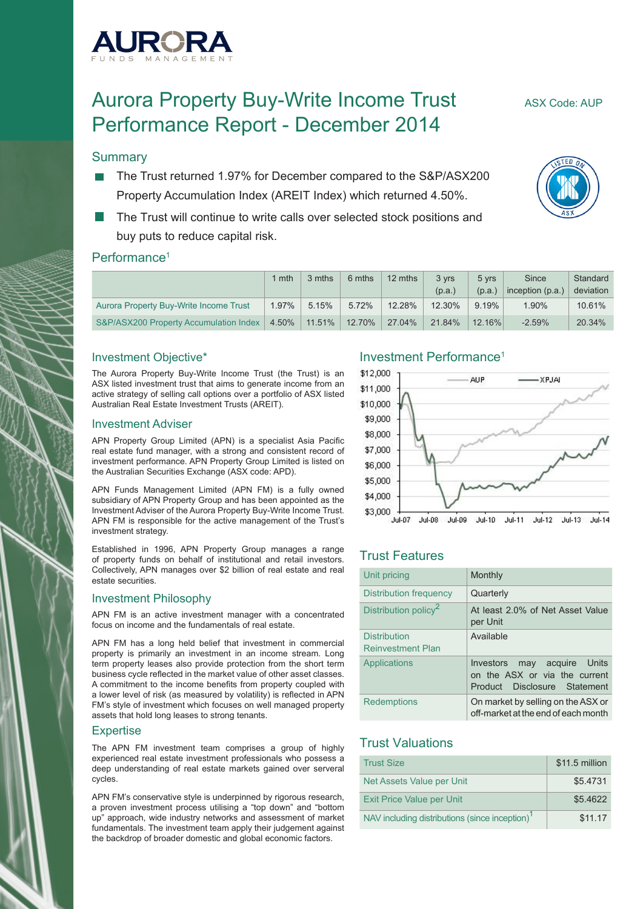

# Aurora Property Buy-Write Income Trust ASX Code: AUP Performance Report - December 2014

#### **Summary**

- The Trust returned 1.97% for December compared to the S&P/ASX200 Property Accumulation Index (AREIT Index) which returned 4.50%.
- The Trust will continue to write calls over selected stock positions and buy puts to reduce capital risk.

#### Performance<sup>1</sup>

|                                        | mth   | 3 mths | 6 mths | 12 mths | 3 vrs<br>(p.a.) | 5 vrs<br>(p.a.) | Since<br>inception $(p.a.)$ | Standard<br>deviation |
|----------------------------------------|-------|--------|--------|---------|-----------------|-----------------|-----------------------------|-----------------------|
| Aurora Property Buy-Write Income Trust | 1.97% | 5.15%  | 5.72%  | 12.28%  | 12.30%          | 9.19%           | $1.90\%$                    | 10.61%                |
| S&P/ASX200 Property Accumulation Index | 4.50% | 11.51% | 12.70% | 27.04%  | 21.84%          | $12.16\%$       | $-2.59%$                    | 20.34%                |

#### Investment Objective\*

The Aurora Property Buy-Write Income Trust (the Trust) is an ASX listed investment trust that aims to generate income from an active strategy of selling call options over a portfolio of ASX listed Australian Real Estate Investment Trusts (AREIT).

#### Investment Adviser

APN Property Group Limited (APN) is a specialist Asia Pacific real estate fund manager, with a strong and consistent record of investment performance. APN Property Group Limited is listed on the Australian Securities Exchange (ASX code: APD).

APN Funds Management Limited (APN FM) is a fully owned subsidiary of APN Property Group and has been appointed as the Investment Adviser of the Aurora Property Buy-Write Income Trust. APN FM is responsible for the active management of the Trust's investment strategy.

Established in 1996, APN Property Group manages a range of property funds on behalf of institutional and retail investors. Collectively, APN manages over \$2 billion of real estate and real estate securities.

#### Investment Philosophy

APN FM is an active investment manager with a concentrated focus on income and the fundamentals of real estate.

APN FM has a long held belief that investment in commercial property is primarily an investment in an income stream. Long term property leases also provide protection from the short term business cycle reflected in the market value of other asset classes. A commitment to the income benefits from property coupled with a lower level of risk (as measured by volatility) is reflected in APN FM's style of investment which focuses on well managed property assets that hold long leases to strong tenants.

#### **Expertise**

The APN FM investment team comprises a group of highly experienced real estate investment professionals who possess a deep understanding of real estate markets gained over serveral cycles.

APN FM's conservative style is underpinned by rigorous research, a proven investment process utilising a "top down" and "bottom up" approach, wide industry networks and assessment of market fundamentals. The investment team apply their judgement against the backdrop of broader domestic and global economic factors.

#### Investment Performance1



#### Trust Features

| Unit pricing                                    | Monthly                                                                                         |
|-------------------------------------------------|-------------------------------------------------------------------------------------------------|
| <b>Distribution frequency</b>                   | Quarterly                                                                                       |
| Distribution policy <sup>2</sup>                | At least 2.0% of Net Asset Value<br>per Unit                                                    |
| <b>Distribution</b><br><b>Reinvestment Plan</b> | Available                                                                                       |
| Applications                                    | may acquire Units<br>Investors<br>on the ASX or via the current<br>Product Disclosure Statement |
| <b>Redemptions</b>                              | On market by selling on the ASX or<br>off-market at the end of each month                       |

#### Trust Valuations

| <b>Trust Size</b>                                          | \$11.5 million |
|------------------------------------------------------------|----------------|
| Net Assets Value per Unit                                  | \$5.4731       |
| <b>Exit Price Value per Unit</b>                           | \$5.4622       |
| NAV including distributions (since inception) <sup>1</sup> | \$11.17        |